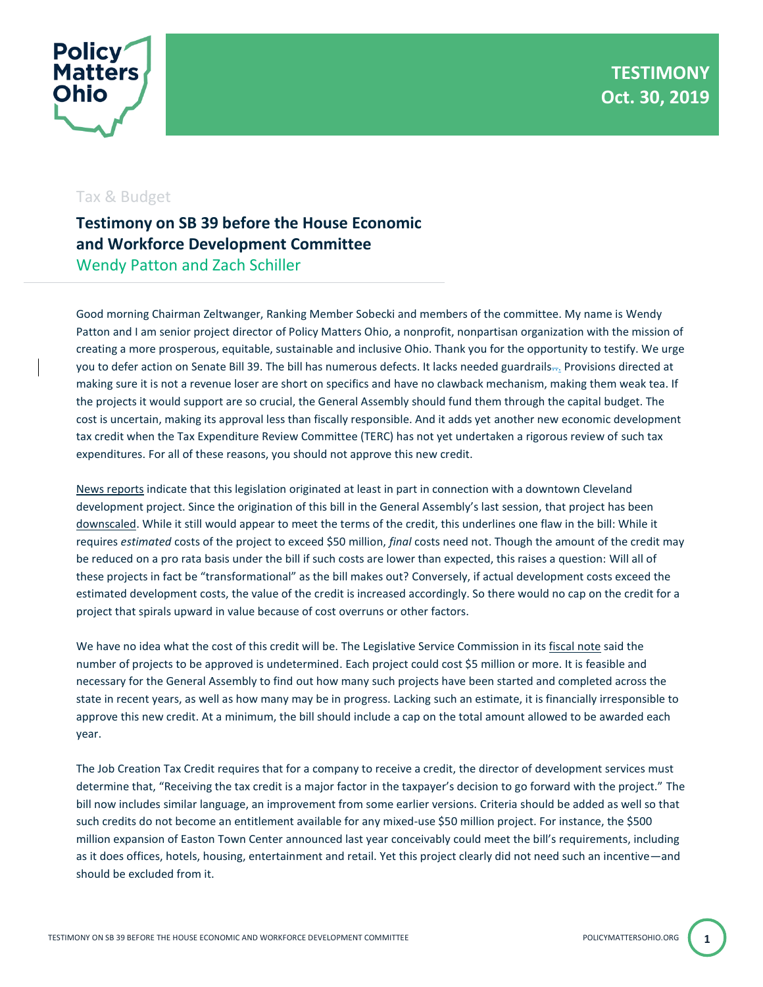

## Tax & Budget

## **Testimony on SB 39 before the House Economic and Workforce Development Committee** Wendy Patton and Zach Schiller

Good morning Chairman Zeltwanger, Ranking Member Sobecki and members of the committee. My name is Wendy Patton and I am senior project director of Policy Matters Ohio, a nonprofit, nonpartisan organization with the mission of creating a more prosperous, equitable, sustainable and inclusive Ohio. Thank you for the opportunity to testify. We urge you to defer action on Senate Bill 39. The bill has numerous defects. It lacks needed guardrails... Provisions directed at making sure it is not a revenue loser are short on specifics and have no clawback mechanism, making them weak tea. If the projects it would support are so crucial, the General Assembly should fund them through the capital budget. The cost is uncertain, making its approval less than fiscally responsible. And it adds yet another new economic development tax credit when the Tax Expenditure Review Committee (TERC) has not yet undertaken a rigorous review of such tax expenditures. For all of these reasons, you should not approve this new credit.

[News reports](http://realestate.cleveland.com/realestate-news/2018/03/clevelands_nucleus_project_app.html) indicate that this legislation originated at least in part in connection with a downtown Cleveland development project. Since the origination of this bill in the General Assembly's last session, that project has been [downscaled.](https://www.cleveland.com/business/2019/03/new-nucleus-plan-is-scaled-back-version-of-original-design.html) While it still would appear to meet the terms of the credit, this underlines one flaw in the bill: While it requires *estimated* costs of the project to exceed \$50 million, *final* costs need not. Though the amount of the credit may be reduced on a pro rata basis under the bill if such costs are lower than expected, this raises a question: Will all of these projects in fact be "transformational" as the bill makes out? Conversely, if actual development costs exceed the estimated development costs, the value of the credit is increased accordingly. So there would no cap on the credit for a project that spirals upward in value because of cost overruns or other factors.

We have no idea what the cost of this credit will be. The Legislative Service Commission in it[s fiscal note](https://www.legislature.ohio.gov/download?key=12245&format=pdf) said the number of projects to be approved is undetermined. Each project could cost \$5 million or more. It is feasible and necessary for the General Assembly to find out how many such projects have been started and completed across the state in recent years, as well as how many may be in progress. Lacking such an estimate, it is financially irresponsible to approve this new credit. At a minimum, the bill should include a cap on the total amount allowed to be awarded each year.

The Job Creation Tax Credit requires that for a company to receive a credit, the director of development services must determine that, "Receiving the tax credit is a major factor in the taxpayer's decision to go forward with the project." The bill now includes similar language, an improvement from some earlier versions. Criteria should be added as well so that such credits do not become an entitlement available for any mixed-use \$50 million project. For instance, the \$500 million expansion of Easton Town Center announced last year conceivably could meet the bill's requirements, including as it does offices, hotels, housing, entertainment and retail. Yet this project clearly did not need such an incentive—and should be excluded from it.